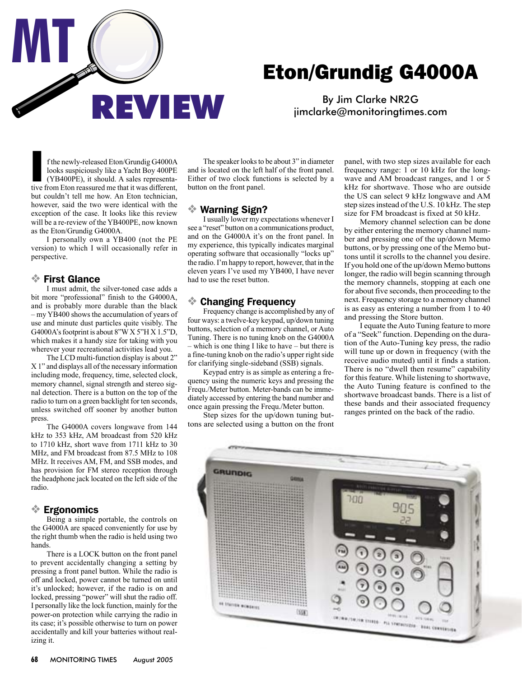

# Eton/Grundig G4000A

By Jim Clarke NR2G [jimclarke@monitoringtimes.com](mailto:jimclarke@monitoringtimes.com)

f the newly-released Eton/Grundig G4000A<br>looks suspiciously like a Yacht Boy 400PE<br>(YB400PE), it should. A sales representa-<br>tive from Eton reassured me that it was different, f the newly-released Eton/Grundig G4000A looks suspiciously like a Yacht Boy 400PE (YB400PE), it should. A sales representabut couldn't tell me how. An Eton technician, however, said the two were identical with the exception of the case. It looks like this review will be a re-review of the YB400PE, now known as the Eton/Grundig G4000A.

 I personally own a YB400 (not the PE version) to which I will occasionally refer in perspective.

#### ❖ First Glance

 I must admit, the silver-toned case adds a bit more "professional" finish to the G4000A, and is probably more durable than the black – my YB400 shows the accumulation of years of use and minute dust particles quite visibly. The G4000A's footprint is about  $8''WX5''HX1.5''D$ . which makes it a handy size for taking with you wherever your recreational activities lead you.

 The LCD multi-function display is about 2" X 1" and displays all of the necessary information including mode, frequency, time, selected clock, memory channel, signal strength and stereo signal detection. There is a button on the top of the radio to turn on a green backlight for ten seconds, unless switched off sooner by another button press.

 The G4000A covers longwave from 144 kHz to 353 kHz, AM broadcast from 520 kHz to 1710 kHz, short wave from 1711 kHz to 30 MHz, and FM broadcast from 87.5 MHz to 108 MHz. It receives AM, FM, and SSB modes, and has provision for FM stereo reception through the headphone jack located on the left side of the radio.

### ❖ Ergonomics

 Being a simple portable, the controls on the G4000A are spaced conveniently for use by the right thumb when the radio is held using two hands.

 There is a LOCK button on the front panel to prevent accidentally changing a setting by pressing a front panel button. While the radio is off and locked, power cannot be turned on until it's unlocked; however, if the radio is on and locked, pressing "power" will shut the radio off. I personally like the lock function, mainly for the power-on protection while carrying the radio in its case; it's possible otherwise to turn on power accidentally and kill your batteries without realizing it.

 The speaker looks to be about 3" in diameter and is located on the left half of the front panel. Either of two clock functions is selected by a button on the front panel.

### ❖ Warning Sign?

 I usually lower my expectations whenever I see a "reset" button on a communications product, and on the G4000A it's on the front panel. In my experience, this typically indicates marginal operating software that occasionally "locks up" the radio. I'm happy to report, however, that in the eleven years I've used my YB400, I have never had to use the reset button.

### ❖ Changing Frequency

 Frequency change is accomplished by any of four ways: a twelve-key keypad, up/down tuning buttons, selection of a memory channel, or Auto Tuning. There is no tuning knob on the G4000A – which is one thing I like to have – but there is a fine-tuning knob on the radio's upper right side for clarifying single-sideband (SSB) signals.

 Keypad entry is as simple as entering a frequency using the numeric keys and pressing the Frequ./Meter button. Meter-bands can be immediately accessed by entering the band number and once again pressing the Frequ./Meter button.

Step sizes for the up/down tuning buttons are selected using a button on the front panel, with two step sizes available for each frequency range: 1 or 10 kHz for the longwave and AM broadcast ranges, and 1 or 5 kHz for shortwave. Those who are outside the US can select 9 kHz longwave and AM step sizes instead of the U.S. 10 kHz. The step size for FM broadcast is fixed at 50 kHz.

 Memory channel selection can be done by either entering the memory channel number and pressing one of the up/down Memo buttons, or by pressing one of the Memo buttons until it scrolls to the channel you desire. If you hold one of the up/down Memo buttons longer, the radio will begin scanning through the memory channels, stopping at each one for about five seconds, then proceeding to the next. Frequency storage to a memory channel is as easy as entering a number from 1 to 40 and pressing the Store button.

 I equate the Auto Tuning feature to more of a "Seek" function. Depending on the duration of the Auto-Tuning key press, the radio will tune up or down in frequency (with the receive audio muted) until it finds a station. There is no "dwell then resume" capability for this feature. While listening to shortwave, the Auto Tuning feature is confined to the shortwave broadcast bands. There is a list of these bands and their associated frequency ranges printed on the back of the radio.